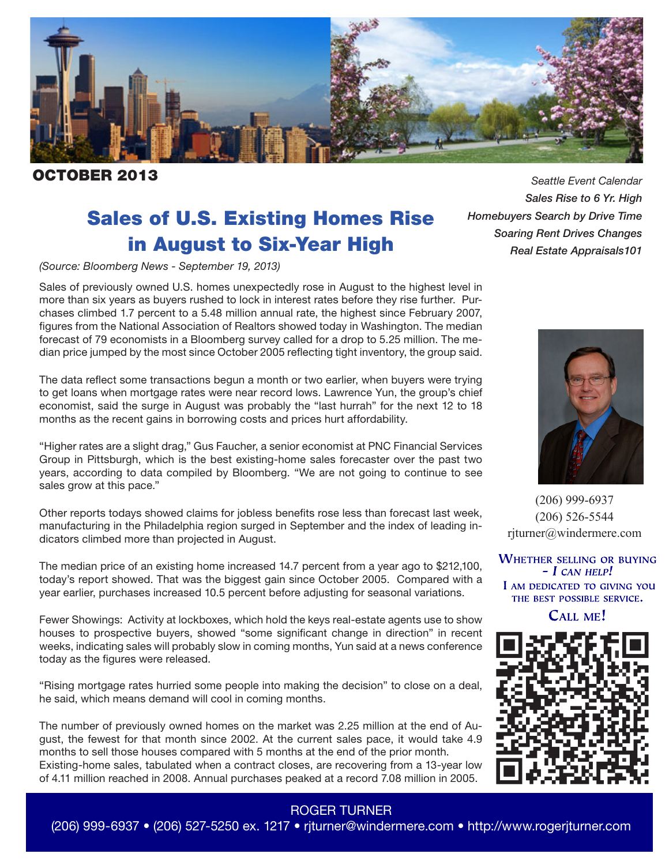

**CTOBER 2013 Seattle Event Calendar** 

# Sales of U.S. Existing Homes Rise in August to Six-Year High

*(Source: Bloomberg News - September 19, 2013)*

Sales of previously owned U.S. homes unexpectedly rose in August to the highest level in more than six years as buyers rushed to lock in interest rates before they rise further. Purchases climbed 1.7 percent to a 5.48 million annual rate, the highest since February 2007, figures from the National Association of Realtors showed today in Washington. The median forecast of 79 economists in a Bloomberg survey called for a drop to 5.25 million. The median price jumped by the most since October 2005 reflecting tight inventory, the group said.

The data reflect some transactions begun a month or two earlier, when buyers were trying to get loans when mortgage rates were near record lows. Lawrence Yun, the group's chief economist, said the surge in August was probably the "last hurrah" for the next 12 to 18 months as the recent gains in borrowing costs and prices hurt affordability.

"Higher rates are a slight drag," Gus Faucher, a senior economist at PNC Financial Services Group in Pittsburgh, which is the best existing-home sales forecaster over the past two years, according to data compiled by Bloomberg. "We are not going to continue to see sales grow at this pace."

Other reports todays showed claims for jobless benefits rose less than forecast last week, manufacturing in the Philadelphia region surged in September and the index of leading indicators climbed more than projected in August.

The median price of an existing home increased 14.7 percent from a year ago to \$212,100, today's report showed. That was the biggest gain since October 2005. Compared with a year earlier, purchases increased 10.5 percent before adjusting for seasonal variations.

Fewer Showings: Activity at lockboxes, which hold the keys real-estate agents use to show houses to prospective buyers, showed "some significant change in direction" in recent weeks, indicating sales will probably slow in coming months, Yun said at a news conference today as the figures were released.

"Rising mortgage rates hurried some people into making the decision" to close on a deal, he said, which means demand will cool in coming months.

The number of previously owned homes on the market was 2.25 million at the end of August, the fewest for that month since 2002. At the current sales pace, it would take 4.9 months to sell those houses compared with 5 months at the end of the prior month. Existing-home sales, tabulated when a contract closes, are recovering from a 13-year low of 4.11 million reached in 2008. Annual purchases peaked at a record 7.08 million in 2005.

 *Sales Rise to 6 Yr. High Homebuyers Search by Drive Time Soaring Rent Drives Changes Real Estate Appraisals101*



(206) 999-6937 (206) 526-5544 rjturner@windermere.com

**WHETHER SELLING OR BUYING**  $- I$  CAN HELP! I AM DEDICATED TO GIVING YOU THE BEST POSSIBLE SERVICE.

**CALL ME!** 



### ROGER TURNER

(206) 999-6937 • (206) 527-5250 ex. 1217 • rjturner@windermere.com • http://www.rogerjturner.com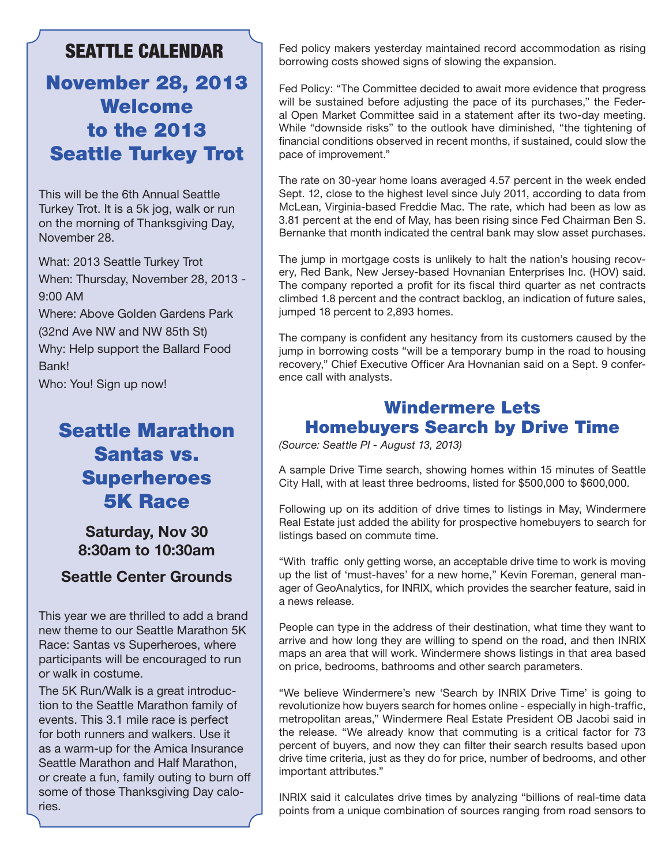## SEATTLE CALENDAR

# November 28, 2013 **Welcome** to the 2013 Seattle Turkey Trot

This will be the 6th Annual Seattle Turkey Trot. It is a 5k jog, walk or run on the morning of Thanksgiving Day, November 28.

What: 2013 Seattle Turkey Trot When: Thursday, November 28, 2013 - 9:00 AM

Where: Above Golden Gardens Park (32nd Ave NW and NW 85th St) Why: Help support the Ballard Food Bank!

Who: You! Sign up now!

# Seattle Marathon Santas vs. Superheroes 5K Race

**Saturday, Nov 30 8:30am to 10:30am**

### **Seattle Center Grounds**

This year we are thrilled to add a brand new theme to our Seattle Marathon 5K Race: Santas vs Superheroes, where participants will be encouraged to run or walk in costume.

The 5K Run/Walk is a great introduction to the Seattle Marathon family of events. This 3.1 mile race is perfect for both runners and walkers. Use it as a warm-up for the Amica Insurance Seattle Marathon and Half Marathon, or create a fun, family outing to burn off some of those Thanksgiving Day calories.

Fed policy makers yesterday maintained record accommodation as rising borrowing costs showed signs of slowing the expansion.

Fed Policy: "The Committee decided to await more evidence that progress will be sustained before adjusting the pace of its purchases," the Federal Open Market Committee said in a statement after its two-day meeting. While "downside risks" to the outlook have diminished, "the tightening of financial conditions observed in recent months, if sustained, could slow the pace of improvement."

The rate on 30-year home loans averaged 4.57 percent in the week ended Sept. 12, close to the highest level since July 2011, according to data from McLean, Virginia-based Freddie Mac. The rate, which had been as low as 3.81 percent at the end of May, has been rising since Fed Chairman Ben S. Bernanke that month indicated the central bank may slow asset purchases.

The jump in mortgage costs is unlikely to halt the nation's housing recovery, Red Bank, New Jersey-based Hovnanian Enterprises Inc. (HOV) said. The company reported a profit for its fiscal third quarter as net contracts climbed 1.8 percent and the contract backlog, an indication of future sales, jumped 18 percent to 2,893 homes.

The company is confident any hesitancy from its customers caused by the jump in borrowing costs "will be a temporary bump in the road to housing recovery," Chief Executive Officer Ara Hovnanian said on a Sept. 9 conference call with analysts.

## Windermere Lets Homebuyers Search by Drive Time

*(Source: Seattle PI - August 13, 2013)*

A sample Drive Time search, showing homes within 15 minutes of Seattle City Hall, with at least three bedrooms, listed for \$500,000 to \$600,000.

Following up on its addition of drive times to listings in May, Windermere Real Estate just added the ability for prospective homebuyers to search for listings based on commute time.

"With traffic only getting worse, an acceptable drive time to work is moving up the list of 'must-haves' for a new home," Kevin Foreman, general manager of GeoAnalytics, for INRIX, which provides the searcher feature, said in a news release.

People can type in the address of their destination, what time they want to arrive and how long they are willing to spend on the road, and then INRIX maps an area that will work. Windermere shows listings in that area based on price, bedrooms, bathrooms and other search parameters.

"We believe Windermere's new 'Search by INRIX Drive Time' is going to revolutionize how buyers search for homes online - especially in high-traffic, metropolitan areas," Windermere Real Estate President OB Jacobi said in the release. "We already know that commuting is a critical factor for 73 percent of buyers, and now they can filter their search results based upon drive time criteria, just as they do for price, number of bedrooms, and other important attributes."

INRIX said it calculates drive times by analyzing "billions of real-time data points from a unique combination of sources ranging from road sensors to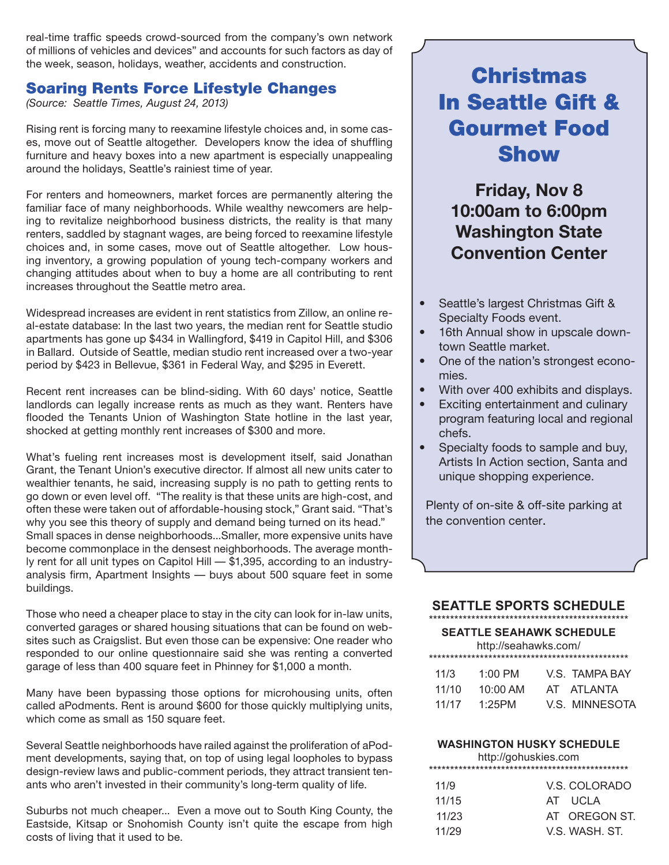real-time traffic speeds crowd-sourced from the company's own network of millions of vehicles and devices" and accounts for such factors as day of the week, season, holidays, weather, accidents and construction.

### Soaring Rents Force Lifestyle Changes

*(Source: Seattle Times, August 24, 2013)*

Rising rent is forcing many to reexamine lifestyle choices and, in some cases, move out of Seattle altogether. Developers know the idea of shuffling furniture and heavy boxes into a new apartment is especially unappealing around the holidays, Seattle's rainiest time of year.

For renters and homeowners, market forces are permanently altering the familiar face of many neighborhoods. While wealthy newcomers are helping to revitalize neighborhood business districts, the reality is that many renters, saddled by stagnant wages, are being forced to reexamine lifestyle choices and, in some cases, move out of Seattle altogether. Low housing inventory, a growing population of young tech-company workers and changing attitudes about when to buy a home are all contributing to rent increases throughout the Seattle metro area.

Widespread increases are evident in rent statistics from Zillow, an online real-estate database: In the last two years, the median rent for Seattle studio apartments has gone up \$434 in Wallingford, \$419 in Capitol Hill, and \$306 in Ballard. Outside of Seattle, median studio rent increased over a two-year period by \$423 in Bellevue, \$361 in Federal Way, and \$295 in Everett.

Recent rent increases can be blind-siding. With 60 days' notice, Seattle landlords can legally increase rents as much as they want. Renters have flooded the Tenants Union of Washington State hotline in the last year, shocked at getting monthly rent increases of \$300 and more.

What's fueling rent increases most is development itself, said Jonathan Grant, the Tenant Union's executive director. If almost all new units cater to wealthier tenants, he said, increasing supply is no path to getting rents to go down or even level off. "The reality is that these units are high-cost, and often these were taken out of affordable-housing stock," Grant said. "That's why you see this theory of supply and demand being turned on its head." Small spaces in dense neighborhoods...Smaller, more expensive units have become commonplace in the densest neighborhoods. The average monthly rent for all unit types on Capitol Hill — \$1,395, according to an industryanalysis firm, Apartment Insights — buys about 500 square feet in some buildings.

Those who need a cheaper place to stay in the city can look for in-law units, converted garages or shared housing situations that can be found on websites such as Craigslist. But even those can be expensive: One reader who responded to our online questionnaire said she was renting a converted garage of less than 400 square feet in Phinney for \$1,000 a month.

Many have been bypassing those options for microhousing units, often called aPodments. Rent is around \$600 for those quickly multiplying units, which come as small as 150 square feet.

Several Seattle neighborhoods have railed against the proliferation of aPodment developments, saying that, on top of using legal loopholes to bypass design-review laws and public-comment periods, they attract transient tenants who aren't invested in their community's long-term quality of life.

Suburbs not much cheaper... Even a move out to South King County, the Eastside, Kitsap or Snohomish County isn't quite the escape from high costs of living that it used to be.

# Christmas In Seattle Gift & Gourmet Food Show

**Friday, Nov 8 10:00am to 6:00pm Washington State Convention Center**

- Seattle's largest Christmas Gift & Specialty Foods event.
- 16th Annual show in upscale downtown Seattle market.
- One of the nation's strongest economies.
- With over 400 exhibits and displays.
- Exciting entertainment and culinary program featuring local and regional chefs.
- Specialty foods to sample and buy, Artists In Action section, Santa and unique shopping experience.

Plenty of on-site & off-site parking at the convention center.

### **SEATTLE SPORTS SCHEDULE**

#### \*\*\*\*\*\*\*\*\*\*\*\*\*\*\*\*\*\*\*\*\*\*\*\*\*\*\*\*\*\*\*\*\*\*\*\*\*\*\*\*\*\*\*\*\*\*\* **SEATTLE SEAHAWK SCHEDULE** http://seahawks.com/ \*\*\*\*\*\*\*\*\*\*\*\*\*\*\*\*\*\*\*\*\*\*\*\*\*\*\*\*\*\*\*\*\*\*\*\*\*\*\*\*\*\*\*\*\*\*\*

| 11/3  | 1:00 PM            | V.S. TAMPA BAY |
|-------|--------------------|----------------|
| 11/10 | $10:00 \text{ AM}$ | AT ATLANTA     |
| 11/17 | 1:25PM             | V.S. MINNESOTA |
|       |                    |                |

### **WASHINGTON HUSKY SCHEDULE**

http://gohuskies.com

| 11/9  | V.S. COLORADO  |
|-------|----------------|
| 11/15 | AT UCLA        |
| 11/23 | AT OREGON ST   |
| 11/29 | V.S. WASH, ST. |
|       |                |